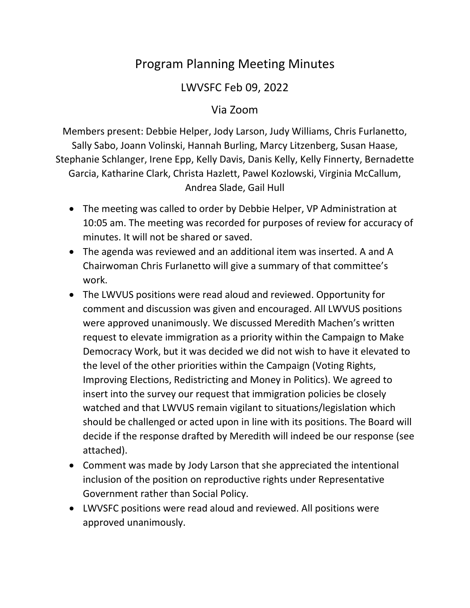## Program Planning Meeting Minutes

## LWVSFC Feb 09, 2022

## Via Zoom

Members present: Debbie Helper, Jody Larson, Judy Williams, Chris Furlanetto, Sally Sabo, Joann Volinski, Hannah Burling, Marcy Litzenberg, Susan Haase, Stephanie Schlanger, Irene Epp, Kelly Davis, Danis Kelly, Kelly Finnerty, Bernadette Garcia, Katharine Clark, Christa Hazlett, Pawel Kozlowski, Virginia McCallum, Andrea Slade, Gail Hull

- The meeting was called to order by Debbie Helper, VP Administration at 10:05 am. The meeting was recorded for purposes of review for accuracy of minutes. It will not be shared or saved.
- The agenda was reviewed and an additional item was inserted. A and A Chairwoman Chris Furlanetto will give a summary of that committee's work.
- The LWVUS positions were read aloud and reviewed. Opportunity for comment and discussion was given and encouraged. All LWVUS positions were approved unanimously. We discussed Meredith Machen's written request to elevate immigration as a priority within the Campaign to Make Democracy Work, but it was decided we did not wish to have it elevated to the level of the other priorities within the Campaign (Voting Rights, Improving Elections, Redistricting and Money in Politics). We agreed to insert into the survey our request that immigration policies be closely watched and that LWVUS remain vigilant to situations/legislation which should be challenged or acted upon in line with its positions. The Board will decide if the response drafted by Meredith will indeed be our response (see attached).
- Comment was made by Jody Larson that she appreciated the intentional inclusion of the position on reproductive rights under Representative Government rather than Social Policy.
- LWVSFC positions were read aloud and reviewed. All positions were approved unanimously.